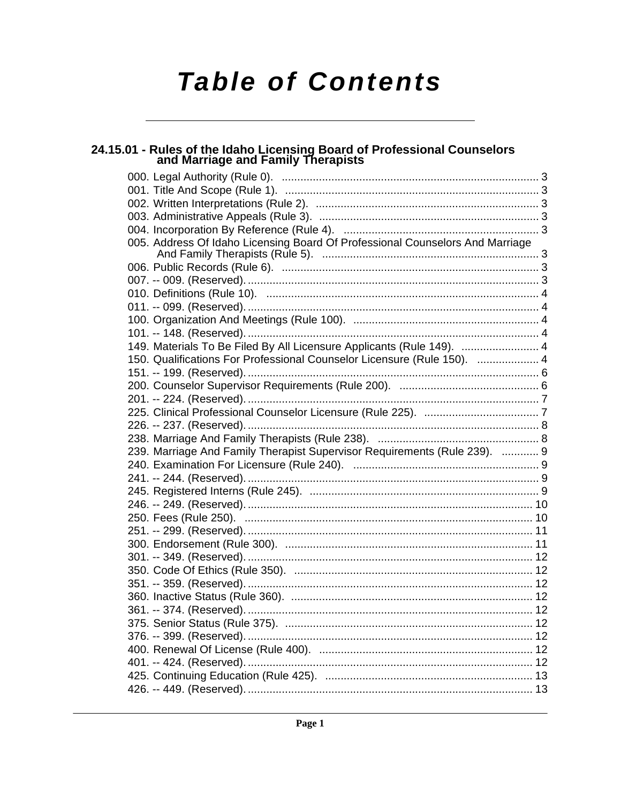# **Table of Contents**

# 24.15.01 - Rules of the Idaho Licensing Board of Professional Counselors<br>and Marriage and Family Therapists

| 005. Address Of Idaho Licensing Board Of Professional Counselors And Marriage |  |
|-------------------------------------------------------------------------------|--|
|                                                                               |  |
|                                                                               |  |
|                                                                               |  |
|                                                                               |  |
|                                                                               |  |
|                                                                               |  |
|                                                                               |  |
| 149. Materials To Be Filed By All Licensure Applicants (Rule 149).  4         |  |
| 150. Qualifications For Professional Counselor Licensure (Rule 150).  4       |  |
|                                                                               |  |
|                                                                               |  |
|                                                                               |  |
|                                                                               |  |
|                                                                               |  |
|                                                                               |  |
| 239. Marriage And Family Therapist Supervisor Requirements (Rule 239).  9     |  |
|                                                                               |  |
|                                                                               |  |
|                                                                               |  |
|                                                                               |  |
|                                                                               |  |
|                                                                               |  |
|                                                                               |  |
|                                                                               |  |
|                                                                               |  |
|                                                                               |  |
|                                                                               |  |
|                                                                               |  |
|                                                                               |  |
|                                                                               |  |
|                                                                               |  |
|                                                                               |  |
|                                                                               |  |
|                                                                               |  |
|                                                                               |  |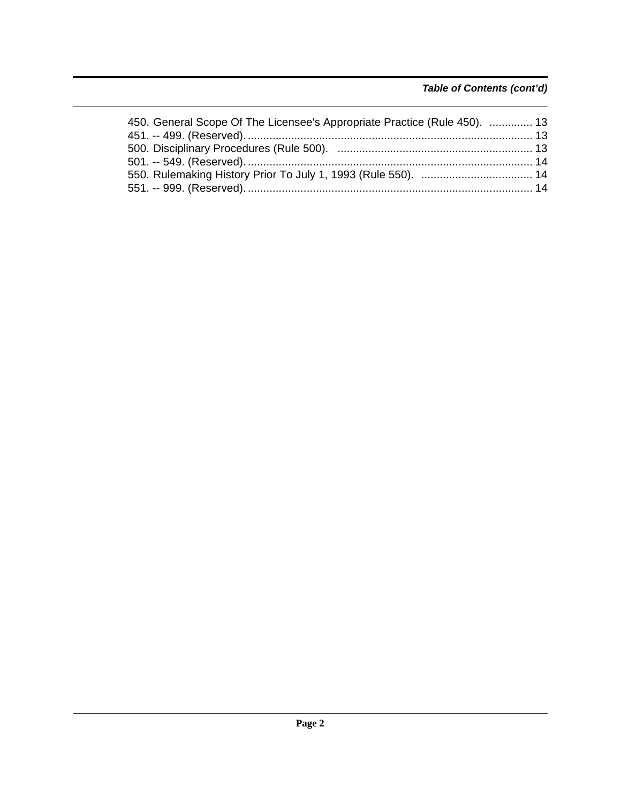# *Table of Contents (cont'd)*

| 450. General Scope Of The Licensee's Appropriate Practice (Rule 450).  13 |  |
|---------------------------------------------------------------------------|--|
|                                                                           |  |
|                                                                           |  |
|                                                                           |  |
|                                                                           |  |
|                                                                           |  |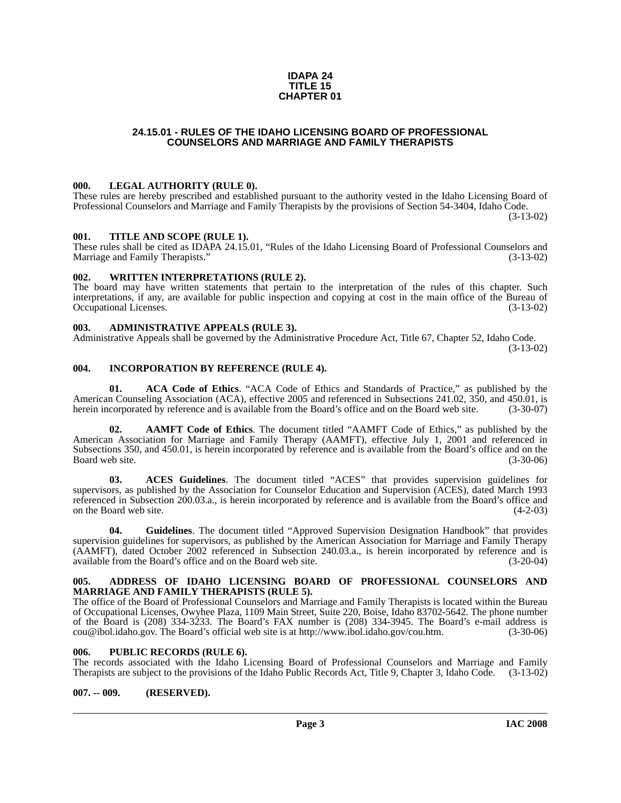#### **IDAPA 24 TITLE 15 CHAPTER 01**

#### **24.15.01 - RULES OF THE IDAHO LICENSING BOARD OF PROFESSIONAL COUNSELORS AND MARRIAGE AND FAMILY THERAPISTS**

#### <span id="page-2-1"></span><span id="page-2-0"></span>**000. LEGAL AUTHORITY (RULE 0).**

These rules are hereby prescribed and established pursuant to the authority vested in the Idaho Licensing Board of Professional Counselors and Marriage and Family Therapists by the provisions of Section 54-3404, Idaho Code. (3-13-02)

#### <span id="page-2-2"></span>**001. TITLE AND SCOPE (RULE 1).**

These rules shall be cited as IDAPA 24.15.01, "Rules of the Idaho Licensing Board of Professional Counselors and Marriage and Family Therapists." (3-13-02) Marriage and Family Therapists."

#### <span id="page-2-3"></span>**002. WRITTEN INTERPRETATIONS (RULE 2).**

The board may have written statements that pertain to the interpretation of the rules of this chapter. Such interpretations, if any, are available for public inspection and copying at cost in the main office of the Bureau of Occupational Licenses. (3-13-02) Occupational Licenses.

#### <span id="page-2-4"></span>**003. ADMINISTRATIVE APPEALS (RULE 3).**

Administrative Appeals shall be governed by the Administrative Procedure Act, Title 67, Chapter 52, Idaho Code.

(3-13-02)

### <span id="page-2-5"></span>**004. INCORPORATION BY REFERENCE (RULE 4).**

**01. ACA Code of Ethics**. "ACA Code of Ethics and Standards of Practice," as published by the American Counseling Association (ACA), effective 2005 and referenced in Subsections 241.02, 350, and 450.01, is herein incorporated by reference and is available from the Board's office and on the Board web site. (3-30-07)

**02. AAMFT Code of Ethics**. The document titled "AAMFT Code of Ethics," as published by the American Association for Marriage and Family Therapy (AAMFT), effective July 1, 2001 and referenced in Subsections 350, and 450.01, is herein incorporated by reference and is available from the Board's office and on the Board web site. (3-30-06)

**03. ACES Guidelines**. The document titled "ACES" that provides supervision guidelines for supervisors, as published by the Association for Counselor Education and Supervision (ACES), dated March 1993 referenced in Subsection 200.03.a., is herein incorporated by reference and is available from the Board's office and on the Board web site. (4-2-03)

**04. Guidelines**. The document titled "Approved Supervision Designation Handbook" that provides supervision guidelines for supervisors, as published by the American Association for Marriage and Family Therapy (AAMFT), dated October 2002 referenced in Subsection 240.03.a., is herein incorporated by reference and is available from the Board's office and on the Board web site. (3-20-04)

#### <span id="page-2-6"></span>**005. ADDRESS OF IDAHO LICENSING BOARD OF PROFESSIONAL COUNSELORS AND MARRIAGE AND FAMILY THERAPISTS (RULE 5).**

[The office of the Board of Professional Counselors and Marriage and Family Therapists is located within the Bureau](mailto:cou@ibol.idaho.gov) of Occupational Licenses, Owyhee Plaza, 1109 Main Street, Suite 220, Boise, Idaho 83702-5642. The phone number of the Board is (208) 334-3233. The Board's FAX number is (208) 334-3945. The Board's e-mail address is cou $@$ ibol.idaho.gov. The Board's official web site is at http://www.ibol.idaho.gov/cou.htm. (3-30-06) [cou@ibol.idaho.gov. The Board's official web site is at](mailto:cou@ibol.idaho.gov) http://www.ibol.idaho.gov/cou.htm.

#### <span id="page-2-7"></span>**006. PUBLIC RECORDS (RULE 6).**

The records associated with the Idaho Licensing Board of Professional Counselors and Marriage and Family Therapists are subject to the provisions of the Idaho Public Records Act, Title 9, Chapter 3, Idaho Code. (3-13-02)

#### <span id="page-2-8"></span>**007. -- 009. (RESERVED).**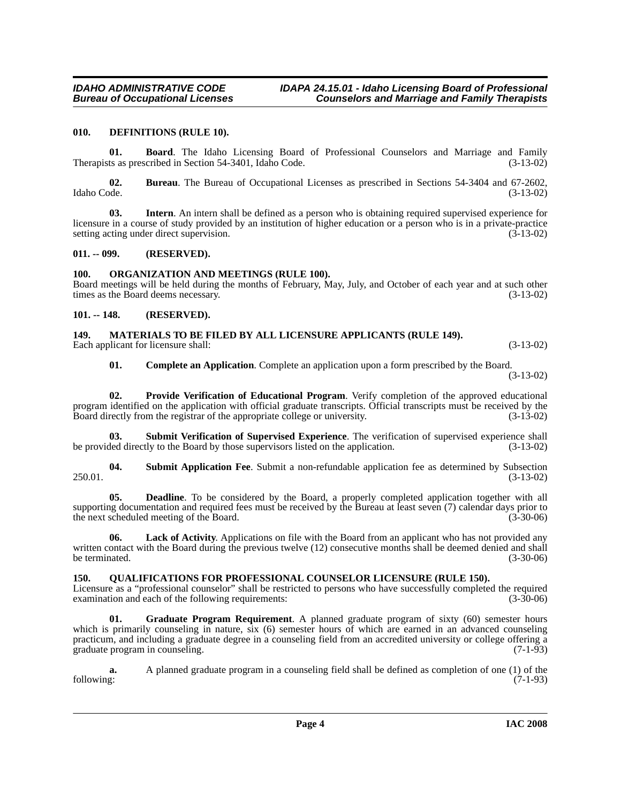#### <span id="page-3-7"></span><span id="page-3-0"></span>**010. DEFINITIONS (RULE 10).**

**01. Board**. The Idaho Licensing Board of Professional Counselors and Marriage and Family Therapists as prescribed in Section 54-3401, Idaho Code. (3-13-02)

**02. Bureau**. The Bureau of Occupational Licenses as prescribed in Sections 54-3404 and 67-2602, Idaho Code. (3-13-02)

**03. Intern**. An intern shall be defined as a person who is obtaining required supervised experience for licensure in a course of study provided by an institution of higher education or a person who is in a private-practice setting acting under direct supervision. (3-13-02)

#### <span id="page-3-1"></span>**011. -- 099. (RESERVED).**

#### <span id="page-3-11"></span><span id="page-3-2"></span>**100. ORGANIZATION AND MEETINGS (RULE 100).**

Board meetings will be held during the months of February, May, July, and October of each year and at such other times as the Board deems necessary. (3-13-02)

#### <span id="page-3-3"></span>**101. -- 148. (RESERVED).**

# <span id="page-3-10"></span><span id="page-3-4"></span>**149. MATERIALS TO BE FILED BY ALL LICENSURE APPLICANTS (RULE 149).**

Each applicant for licensure shall: (3-13-02) (3-13-02)

<span id="page-3-15"></span><span id="page-3-12"></span>**01. Complete an Application**. Complete an application upon a form prescribed by the Board.

(3-13-02)

**02. Provide Verification of Educational Program**. Verify completion of the approved educational program identified on the application with official graduate transcripts. Official transcripts must be received by the Board directly from the registrar of the appropriate college or university. (3-13-02)

**03. Submit Verification of Supervised Experience**. The verification of supervised experience shall be provided directly to the Board by those supervisors listed on the application. (3-13-02)

<span id="page-3-14"></span>**04. Submit Application Fee**. Submit a non-refundable application fee as determined by Subsection 250.01. (3-13-02)

<span id="page-3-6"></span>**05. Deadline**. To be considered by the Board, a properly completed application together with all supporting documentation and required fees must be received by the Bureau at least seven (7) calendar days prior to the next scheduled meeting of the Board. (3-30-06) the next scheduled meeting of the Board.

<span id="page-3-9"></span>**06. Lack of Activity**. Applications on file with the Board from an applicant who has not provided any written contact with the Board during the previous twelve (12) consecutive months shall be deemed denied and shall<br>(3-30-06) (3-30-06) be terminated.

#### <span id="page-3-13"></span><span id="page-3-5"></span>**150. QUALIFICATIONS FOR PROFESSIONAL COUNSELOR LICENSURE (RULE 150).**

Licensure as a "professional counselor" shall be restricted to persons who have successfully completed the required examination and each of the following requirements: (3-30-06)

<span id="page-3-8"></span>**Graduate Program Requirement**. A planned graduate program of sixty (60) semester hours which is primarily counseling in nature, six (6) semester hours of which are earned in an advanced counseling practicum, and including a graduate degree in a counseling field from an accredited university or college offering a graduate program in counseling. (7-1-93)

**a.** A planned graduate program in a counseling field shall be defined as completion of one (1) of the following: (7-1-93) following: (7-1-93)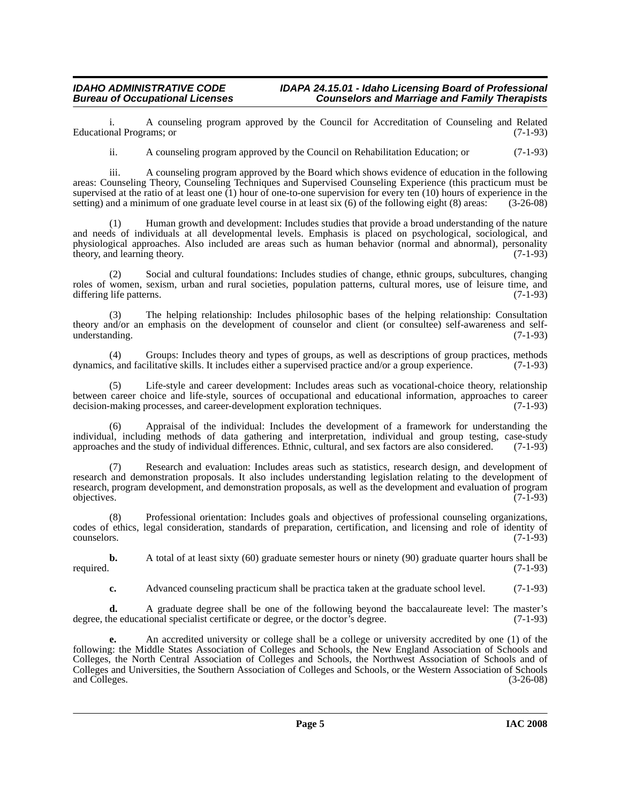i. A counseling program approved by the Council for Accreditation of Counseling and Related Educational Programs; or

ii. A counseling program approved by the Council on Rehabilitation Education; or (7-1-93)

iii. A counseling program approved by the Board which shows evidence of education in the following areas: Counseling Theory, Counseling Techniques and Supervised Counseling Experience (this practicum must be supervised at the ratio of at least one  $(1)$  hour of one-to-one supervision for every ten  $(10)$  hours of experience in the setting) and a minimum of one graduate level course in at least six (6) of the following eight (8) areas: (3-26-08)

(1) Human growth and development: Includes studies that provide a broad understanding of the nature and needs of individuals at all developmental levels. Emphasis is placed on psychological, sociological, and physiological approaches. Also included are areas such as human behavior (normal and abnormal), personality theory, and learning theory. (7-1-93)

(2) Social and cultural foundations: Includes studies of change, ethnic groups, subcultures, changing roles of women, sexism, urban and rural societies, population patterns, cultural mores, use of leisure time, and differing life patterns. (7-1-93)

(3) The helping relationship: Includes philosophic bases of the helping relationship: Consultation theory and/or an emphasis on the development of counselor and client (or consultee) self-awareness and self-<br>understanding. (7-1-93) understanding.

(4) Groups: Includes theory and types of groups, as well as descriptions of group practices, methods dynamics, and facilitative skills. It includes either a supervised practice and/or a group experience. (7-1-93)

(5) Life-style and career development: Includes areas such as vocational-choice theory, relationship between career choice and life-style, sources of occupational and educational information, approaches to career decision-making processes, and career-development exploration techniques. (7-1-93) decision-making processes, and career-development exploration techniques.

(6) Appraisal of the individual: Includes the development of a framework for understanding the individual, including methods of data gathering and interpretation, individual and group testing, case-study approaches and the study of individual differences. Ethnic, cultural, and sex factors are also considered. (7-1-93)

Research and evaluation: Includes areas such as statistics, research design, and development of research and demonstration proposals. It also includes understanding legislation relating to the development of research, program development, and demonstration proposals, as well as the development and evaluation of program objectives. (7-1-93)  $\omega$  objectives.  $(7-1-93)$ 

(8) Professional orientation: Includes goals and objectives of professional counseling organizations, codes of ethics, legal consideration, standards of preparation, certification, and licensing and role of identity of counselors. (7-1-93)

**b.** A total of at least sixty (60) graduate semester hours or ninety (90) graduate quarter hours shall be required. (7-1-93)

**c.** Advanced counseling practicum shall be practica taken at the graduate school level. (7-1-93)

**d.** A graduate degree shall be one of the following beyond the baccalaureate level: The master's he educational specialist certificate or degree, or the doctor's degree. (7-1-93) degree, the educational specialist certificate or degree, or the doctor's degree.

**e.** An accredited university or college shall be a college or university accredited by one (1) of the following: the Middle States Association of Colleges and Schools, the New England Association of Schools and Colleges, the North Central Association of Colleges and Schools, the Northwest Association of Schools and of Colleges and Universities, the Southern Association of Colleges and Schools, or the Western Association of Schools and Colleges.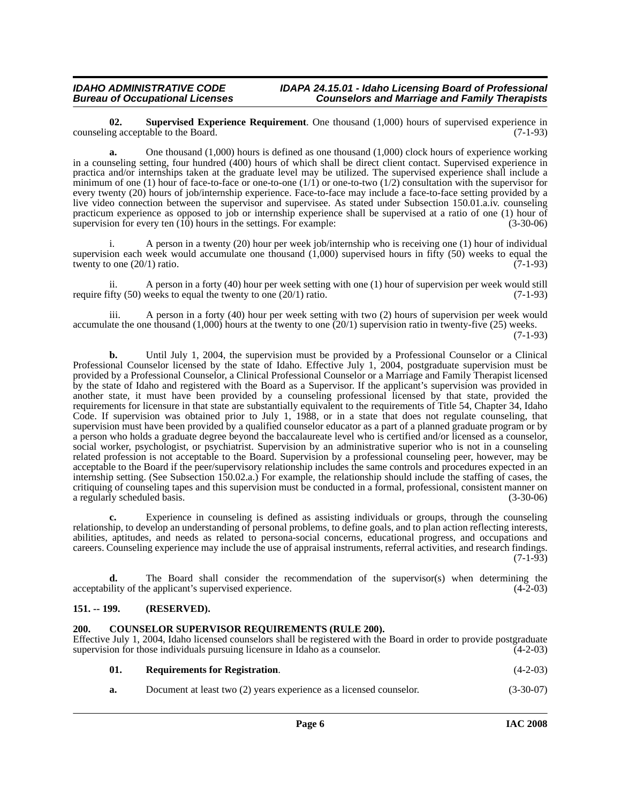<span id="page-5-4"></span>**02. Supervised Experience Requirement**. One thousand (1,000) hours of supervised experience in the Board. (7-1-93) counseling acceptable to the Board.

**a.** One thousand (1,000) hours is defined as one thousand (1,000) clock hours of experience working in a counseling setting, four hundred (400) hours of which shall be direct client contact. Supervised experience in practica and/or internships taken at the graduate level may be utilized. The supervised experience shall include a minimum of one (1) hour of face-to-face or one-to-one  $(1/1)$  or one-to-two  $(1/2)$  consultation with the supervisor for every twenty (20) hours of job/internship experience. Face-to-face may include a face-to-face setting provided by a live video connection between the supervisor and supervisee. As stated under Subsection 150.01.a.iv. counseling practicum experience as opposed to job or internship experience shall be supervised at a ratio of one (1) hour of supervision for every ten  $(10)$  hours in the settings. For example:  $(3-30-06)$ 

i. A person in a twenty (20) hour per week job/internship who is receiving one (1) hour of individual supervision each week would accumulate one thousand (1,000) supervised hours in fifty (50) weeks to equal the twenty to one  $(20/1)$  ratio.  $(7-1-93)$ 

ii. A person in a forty (40) hour per week setting with one (1) hour of supervision per week would still require fifty  $(50)$  weeks to equal the twenty to one  $(20/1)$  ratio. (7-1-93)

iii. A person in a forty (40) hour per week setting with two (2) hours of supervision per week would accumulate the one thousand  $(1,000)$  hours at the twenty to one  $(20/1)$  supervision ratio in twenty-five  $(25)$  weeks.

(7-1-93)

**b.** Until July 1, 2004, the supervision must be provided by a Professional Counselor or a Clinical Professional Counselor licensed by the state of Idaho. Effective July 1, 2004, postgraduate supervision must be provided by a Professional Counselor, a Clinical Professional Counselor or a Marriage and Family Therapist licensed by the state of Idaho and registered with the Board as a Supervisor. If the applicant's supervision was provided in another state, it must have been provided by a counseling professional licensed by that state, provided the requirements for licensure in that state are substantially equivalent to the requirements of Title 54, Chapter 34, Idaho Code. If supervision was obtained prior to July 1, 1988, or in a state that does not regulate counseling, that supervision must have been provided by a qualified counselor educator as a part of a planned graduate program or by a person who holds a graduate degree beyond the baccalaureate level who is certified and/or licensed as a counselor, social worker, psychologist, or psychiatrist. Supervision by an administrative superior who is not in a counseling related profession is not acceptable to the Board. Supervision by a professional counseling peer, however, may be acceptable to the Board if the peer/supervisory relationship includes the same controls and procedures expected in an internship setting. (See Subsection 150.02.a.) For example, the relationship should include the staffing of cases, the critiquing of counseling tapes and this supervision must be conducted in a formal, professional, consistent manner on a regularly scheduled basis. (3-30-06)

**c.** Experience in counseling is defined as assisting individuals or groups, through the counseling relationship, to develop an understanding of personal problems, to define goals, and to plan action reflecting interests, abilities, aptitudes, and needs as related to persona-social concerns, educational progress, and occupations and careers. Counseling experience may include the use of appraisal instruments, referral activities, and research findings.  $(7-1-93)$ 

**d.** The Board shall consider the recommendation of the supervisor(s) when determining the acceptability of the applicant's supervised experience. (4-2-03)

### <span id="page-5-0"></span>**151. -- 199. (RESERVED).**

### <span id="page-5-2"></span><span id="page-5-1"></span>**200. COUNSELOR SUPERVISOR REQUIREMENTS (RULE 200).**

Effective July 1, 2004, Idaho licensed counselors shall be registered with the Board in order to provide postgraduate supervision for those individuals pursuing licensure in Idaho as a counselor. (4-2-03)

<span id="page-5-3"></span>

| 01. | <b>Requirements for Registration.</b> |  | $(4-2-03)$ |  |
|-----|---------------------------------------|--|------------|--|
|-----|---------------------------------------|--|------------|--|

**a.** Document at least two (2) years experience as a licensed counselor. (3-30-07)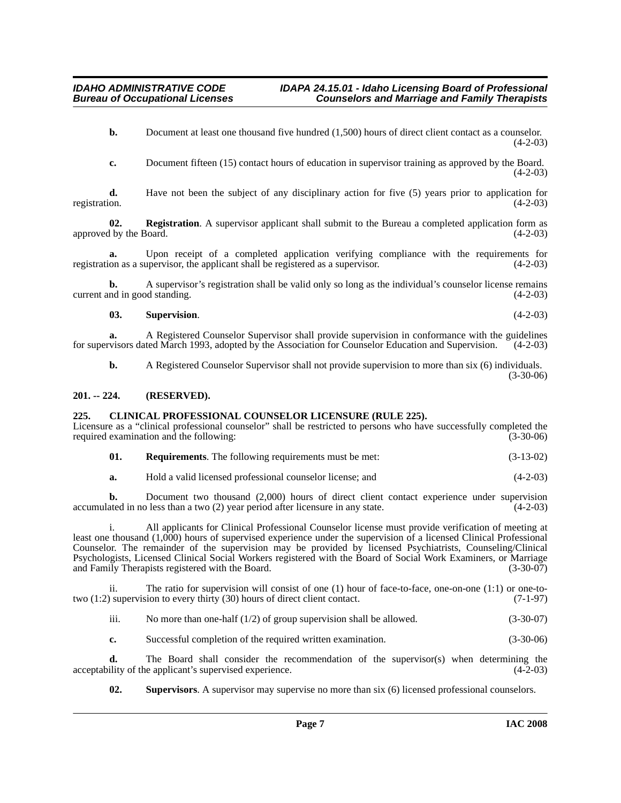**b.** Document at least one thousand five hundred (1,500) hours of direct client contact as a counselor.  $(4-2-03)$ 

**c.** Document fifteen (15) contact hours of education in supervisor training as approved by the Board.  $(4-2-03)$ 

**d.** Have not been the subject of any disciplinary action for five (5) years prior to application for registration. (4-2-03)

**02.** Registration. A supervisor applicant shall submit to the Bureau a completed application form as 1 by the Board. (4-2-03) approved by the Board.

**a.** Upon receipt of a completed application verifying compliance with the requirements for registration as a supervisor, the applicant shall be registered as a supervisor. (4-2-03)

**b.** A supervisor's registration shall be valid only so long as the individual's counselor license remains current and in good standing. (4-2-03)

**03. Supervision**. (4-2-03)

**a.** A Registered Counselor Supervisor shall provide supervision in conformance with the guidelines visors dated March 1993, adopted by the Association for Counselor Education and Supervision. (4-2-03) for supervisors dated March 1993, adopted by the Association for Counselor Education and Supervision.

**b.** A Registered Counselor Supervisor shall not provide supervision to more than six (6) individuals. (3-30-06)

### <span id="page-6-0"></span>**201. -- 224. (RESERVED).**

### <span id="page-6-2"></span><span id="page-6-1"></span>**225. CLINICAL PROFESSIONAL COUNSELOR LICENSURE (RULE 225).**

Licensure as a "clinical professional counselor" shall be restricted to persons who have successfully completed the required examination and the following: (3-30-06) required examination and the following:

| 01. | <b>Requirements.</b> The following requirements must be met: | $(3-13-02)$ |
|-----|--------------------------------------------------------------|-------------|
|     |                                                              |             |

| а. | Hold a valid licensed professional counselor license: and |  |  |  | $(4-2-03)$ |  |
|----|-----------------------------------------------------------|--|--|--|------------|--|
|----|-----------------------------------------------------------|--|--|--|------------|--|

**b.** Document two thousand (2,000) hours of direct client contact experience under supervision accumulated in no less than a two (2) year period after licensure in any state. (4-2-03)

i. All applicants for Clinical Professional Counselor license must provide verification of meeting at least one thousand (1,000) hours of supervised experience under the supervision of a licensed Clinical Professional Counselor. The remainder of the supervision may be provided by licensed Psychiatrists, Counseling/Clinical Psychologists, Licensed Clinical Social Workers registered with the Board of Social Work Examiners, or Marriage and Family Therapists registered with the Board. (3-30-07)

ii. The ratio for supervision will consist of one (1) hour of face-to-face, one-on-one (1:1) or one-totwo (1:2) supervision to every thirty (30) hours of direct client contact. (7-1-97)

iii. No more than one-half  $(1/2)$  of group supervision shall be allowed.  $(3-30-07)$ 

**c.** Successful completion of the required written examination. (3-30-06)

**d.** The Board shall consider the recommendation of the supervisor(s) when determining the ility of the applicant's supervised experience. (4-2-03) acceptability of the applicant's supervised experience.

<span id="page-6-3"></span>**02. Supervisors**. A supervisor may supervise no more than six (6) licensed professional counselors.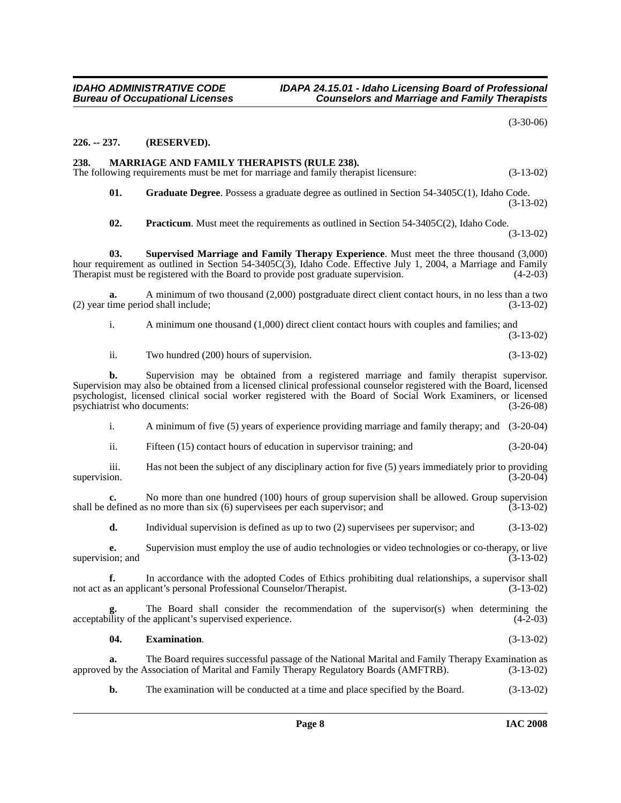(3-30-06)

#### <span id="page-7-0"></span>**226. -- 237. (RESERVED).**

#### <span id="page-7-4"></span><span id="page-7-1"></span>**238. MARRIAGE AND FAMILY THERAPISTS (RULE 238).**

The following requirements must be met for marriage and family therapist licensure: (3-13-02)

<span id="page-7-3"></span>**01. Graduate Degree**. Possess a graduate degree as outlined in Section 54-3405C(1), Idaho Code. (3-13-02)

<span id="page-7-6"></span><span id="page-7-5"></span>**02. Practicum**. Must meet the requirements as outlined in Section 54-3405C(2), Idaho Code. (3-13-02)

**03. Supervised Marriage and Family Therapy Experience**. Must meet the three thousand (3,000) hour requirement as outlined in Section 54-3405C(3), Idaho Code. Effective July 1, 2004, a Marriage and Family Therapist must be registered with the Board to provide post graduate supervision.  $(4-2-03)$ 

**a.** A minimum of two thousand (2,000) postgraduate direct client contact hours, in no less than a two (2) year time period shall include; (3-13-02)

i. A minimum one thousand (1,000) direct client contact hours with couples and families; and (3-13-02)

ii. Two hundred (200) hours of supervision. (3-13-02)

**b.** Supervision may be obtained from a registered marriage and family therapist supervisor. Supervision may also be obtained from a licensed clinical professional counselor registered with the Board, licensed psychologist, licensed clinical social worker registered with the Board of Social Work Examiners, or licensed psychiatrist who documents:

i. A minimum of five (5) years of experience providing marriage and family therapy; and (3-20-04)

ii. Fifteen (15) contact hours of education in supervisor training; and (3-20-04)

iii. Has not been the subject of any disciplinary action for five (5) years immediately prior to providing supervision.  $(3-20-04)$ 

**c.** No more than one hundred (100) hours of group supervision shall be allowed. Group supervision shall be defined as no more than six (6) supervisees per each supervisor; and (3-13-02)

**d.** Individual supervision is defined as up to two (2) supervisees per supervisor; and (3-13-02)

**e.** Supervision must employ the use of audio technologies or video technologies or co-therapy, or live ion; and  $(3-13-02)$ supervision; and

**f.** In accordance with the adopted Codes of Ethics prohibiting dual relationships, a supervisor shall not act as an applicant's personal Professional Counselor/Therapist. (3-13-02)

The Board shall consider the recommendation of the supervisor(s) when determining the e applicant's supervised experience. (4-2-03) acceptability of the applicant's supervised experience.

#### <span id="page-7-2"></span>**04. Examination**. (3-13-02)

**a.** The Board requires successful passage of the National Marital and Family Therapy Examination as 1 by the Association of Marital and Family Therapy Regulatory Boards (AMFTRB). (3-13-02) approved by the Association of Marital and Family Therapy Regulatory Boards (AMFTRB).

**b.** The examination will be conducted at a time and place specified by the Board. (3-13-02)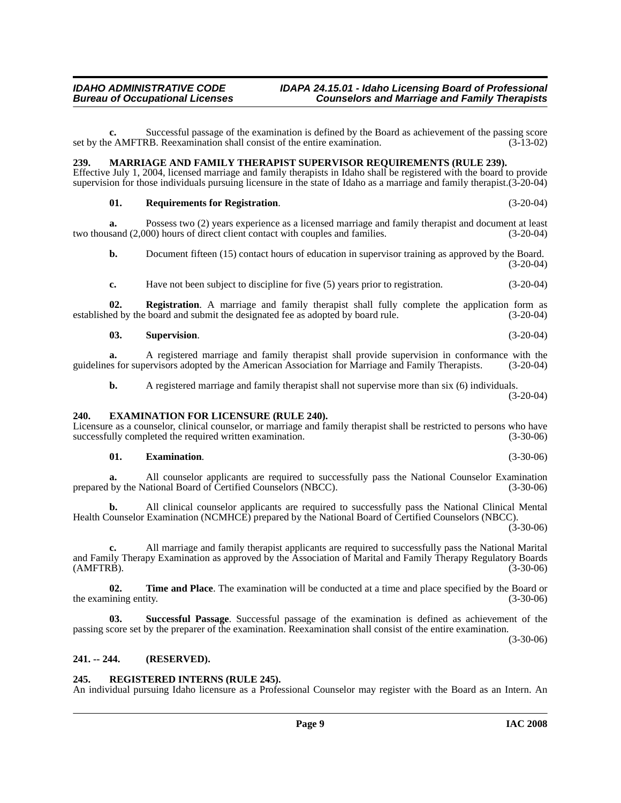**c.** Successful passage of the examination is defined by the Board as achievement of the passing score set by the AMFTRB. Reexamination shall consist of the entire examination. (3-13-02)

# <span id="page-8-6"></span><span id="page-8-0"></span>**239. MARRIAGE AND FAMILY THERAPIST SUPERVISOR REQUIREMENTS (RULE 239).**

Effective July 1, 2004, licensed marriage and family therapists in Idaho shall be registered with the board to provide supervision for those individuals pursuing licensure in the state of Idaho as a marriage and family therapist.(3-20-04)

# **01. Requirements for Registration**. (3-20-04)

**a.** Possess two (2) years experience as a licensed marriage and family therapist and document at least two thousand (2,000) hours of direct client contact with couples and families. (3-20-04)

**b.** Document fifteen (15) contact hours of education in supervisor training as approved by the Board. (3-20-04)

**c.** Have not been subject to discipline for five (5) years prior to registration.  $(3-20-04)$ 

**02. Registration**. A marriage and family therapist shall fully complete the application form as established by the board and submit the designated fee as adopted by board rule. (3-20-04)

# **03. Supervision**. (3-20-04)

**a.** A registered marriage and family therapist shall provide supervision in conformance with the guidelines for supervisors adopted by the American Association for Marriage and Family Therapists. (3-20-04)

<span id="page-8-4"></span>**b.** A registered marriage and family therapist shall not supervise more than six (6) individuals. (3-20-04)

# <span id="page-8-1"></span>**240. EXAMINATION FOR LICENSURE (RULE 240).**

Licensure as a counselor, clinical counselor, or marriage and family therapist shall be restricted to persons who have successfully completed the required written examination. (3-30-06) successfully completed the required written examination.

# <span id="page-8-5"></span>**01. Examination**. (3-30-06)

**a.** All counselor applicants are required to successfully pass the National Counselor Examination prepared by the National Board of Certified Counselors (NBCC). (3-30-06)

**b.** All clinical counselor applicants are required to successfully pass the National Clinical Mental Health Counselor Examination (NCMHCE) prepared by the National Board of Certified Counselors (NBCC).  $(3-30-06)$ 

**c.** All marriage and family therapist applicants are required to successfully pass the National Marital and Family Therapy Examination as approved by the Association of Marital and Family Therapy Regulatory Boards (AMFTRB). (3-30-06)

<span id="page-8-9"></span>**02. Time and Place**. The examination will be conducted at a time and place specified by the Board or the examining entity. (3-30-06) the examining entity.

<span id="page-8-8"></span>**03. Successful Passage**. Successful passage of the examination is defined as achievement of the passing score set by the preparer of the examination. Reexamination shall consist of the entire examination.

(3-30-06)

# <span id="page-8-2"></span>**241. -- 244. (RESERVED).**

# <span id="page-8-7"></span><span id="page-8-3"></span>**245. REGISTERED INTERNS (RULE 245).**

An individual pursuing Idaho licensure as a Professional Counselor may register with the Board as an Intern. An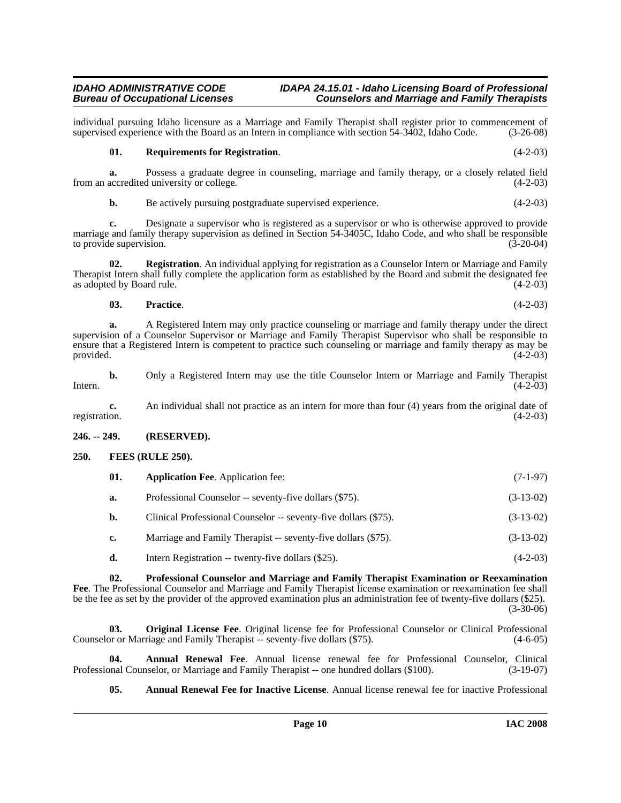individual pursuing Idaho licensure as a Marriage and Family Therapist shall register prior to commencement of supervised experience with the Board as an Intern in compliance with section 54-3402, Idaho Code. (3-26-08) supervised experience with the Board as an Intern in compliance with section 54-3402, Idaho Code.

### <span id="page-9-8"></span>**01. Requirements for Registration**. (4-2-03)

**a.** Possess a graduate degree in counseling, marriage and family therapy, or a closely related field accredited university or college.  $(4-2-03)$ from an accredited university or college.

**b.** Be actively pursuing postgraduate supervised experience. (4-2-03)

**c.** Designate a supervisor who is registered as a supervisor or who is otherwise approved to provide marriage and family therapy supervision as defined in Section 54-3405C, Idaho Code, and who shall be responsible<br>to provide supervision. (3-20-04) to provide supervision.

**02. Registration**. An individual applying for registration as a Counselor Intern or Marriage and Family Therapist Intern shall fully complete the application form as established by the Board and submit the designated fee as adopted by Board rule.

### **03. Practice**. (4-2-03)

**a.** A Registered Intern may only practice counseling or marriage and family therapy under the direct supervision of a Counselor Supervisor or Marriage and Family Therapist Supervisor who shall be responsible to ensure that a Registered Intern is competent to practice such counseling or marriage and family therapy as may be provided.  $(4-2-03)$ 

**b.** Only a Registered Intern may use the title Counselor Intern or Marriage and Family Therapist Intern.  $(4-2-03)$ 

**c.** An individual shall not practice as an intern for more than four (4) years from the original date of registration. (4-2-03)

### <span id="page-9-0"></span>**246. -- 249. (RESERVED).**

### <span id="page-9-1"></span>**250. FEES (RULE 250).**

<span id="page-9-5"></span><span id="page-9-4"></span>

| 01. | <b>Application Fee.</b> Application fee:               | $(7-1-97)$  |  |
|-----|--------------------------------------------------------|-------------|--|
|     | Professional Counselor -- seventy-five dollars (\$75). | $(3-13-02)$ |  |

**b.** Clinical Professional Counselor -- seventy-five dollars (\$75). (3-13-02)

- **c.** Marriage and Family Therapist -- seventy-five dollars (\$75). (3-13-02)
- <span id="page-9-7"></span>**d.** Intern Registration -- twenty-five dollars (\$25). (4-2-03)

**02. Professional Counselor and Marriage and Family Therapist Examination or Reexamination Fee**. The Professional Counselor and Marriage and Family Therapist license examination or reexamination fee shall be the fee as set by the provider of the approved examination plus an administration fee of twenty-five dollars (\$25). (3-30-06)

<span id="page-9-6"></span>**03. Original License Fee**. Original license fee for Professional Counselor or Clinical Professional Counselor or Marriage and Family Therapist -- seventy-five dollars (\$75). (4-6-05)

**04. Annual Renewal Fee**. Annual license renewal fee for Professional Counselor, Clinical phal Counselor, or Marriage and Family Therapist -- one hundred dollars (\$100). (3-19-07) Professional Counselor, or Marriage and Family Therapist -- one hundred dollars (\$100).

<span id="page-9-3"></span><span id="page-9-2"></span>**05. Annual Renewal Fee for Inactive License**. Annual license renewal fee for inactive Professional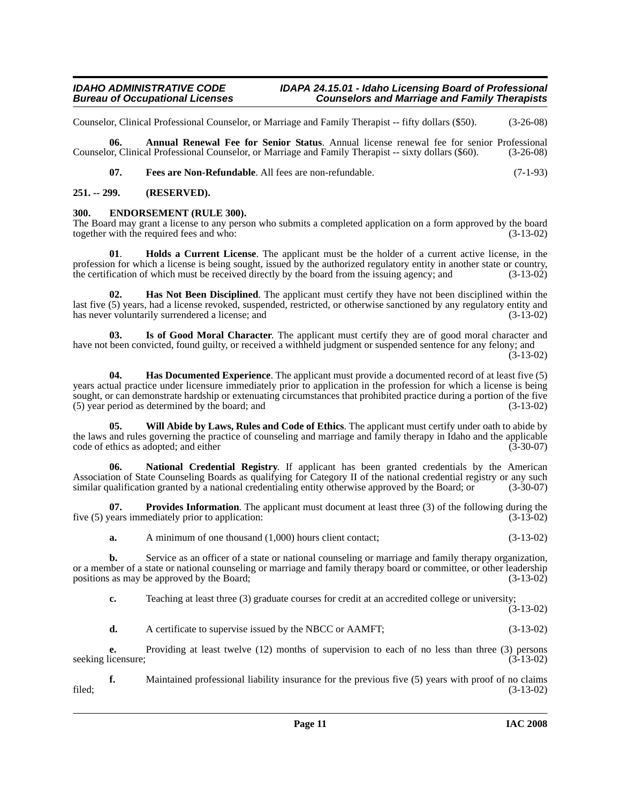Counselor, Clinical Professional Counselor, or Marriage and Family Therapist -- fifty dollars (\$50). (3-26-08)

**06. Annual Renewal Fee for Senior Status**. Annual license renewal fee for senior Professional Counselor, Clinical Professional Counselor, or Marriage and Family Therapist -- sixty dollars (\$60). (3-26-08)

<span id="page-10-5"></span><span id="page-10-4"></span><span id="page-10-3"></span>**07. Fees are Non-Refundable**. All fees are non-refundable. (7-1-93)

#### <span id="page-10-0"></span>**251. -- 299. (RESERVED).**

#### <span id="page-10-1"></span>**300. ENDORSEMENT (RULE 300).**

The Board may grant a license to any person who submits a completed application on a form approved by the board together with the required fees and who: (3-13-02)

<span id="page-10-8"></span>**01**. **Holds a Current License**. The applicant must be the holder of a current active license, in the profession for which a license is being sought, issued by the authorized regulatory entity in another state or country, the certification of which must be received directly by the board from the issuing agency; and (3-13-0 the certification of which must be received directly by the board from the issuing agency; and

<span id="page-10-7"></span>**02. Has Not Been Disciplined**. The applicant must certify they have not been disciplined within the last five (5) years, had a license revoked, suspended, restricted, or otherwise sanctioned by any regulatory entity and has never voluntarily surrendered a license; and (3-13-02)

<span id="page-10-6"></span>**03. Is of Good Moral Character**. The applicant must certify they are of good moral character and have not been convicted, found guilty, or received a withheld judgment or suspended sentence for any felony; and

**04. Has Documented Experience**. The applicant must provide a documented record of at least five (5) years actual practice under licensure immediately prior to application in the profession for which a license is being sought, or can demonstrate hardship or extenuating circumstances that prohibited practice during a portion of the five (5) year period as determined by the board; and (3-13-02)

<span id="page-10-2"></span>**05. Will Abide by Laws, Rules and Code of Ethics**. The applicant must certify under oath to abide by the laws and rules governing the practice of counseling and marriage and family therapy in Idaho and the applicable code of ethics as adopted; and either (3-30-07)

**06. National Credential Registry**. If applicant has been granted credentials by the American Association of State Counseling Boards as qualifying for Category II of the national credential registry or any such similar qualification granted by a national credentialing entity otherwise approved by the Board: or (3-3 similar qualification granted by a national credentialing entity otherwise approved by the Board; or

**07. Provides Information**. The applicant must document at least three (3) of the following during the rears immediately prior to application: (3-13-02) five  $(5)$  years immediately prior to application:

<span id="page-10-9"></span>**a.** A minimum of one thousand (1,000) hours client contact; (3-13-02)

**b.** Service as an officer of a state or national counseling or marriage and family therapy organization, or a member of a state or national counseling or marriage and family therapy board or committee, or other leadership positions as may be approved by the Board; (3-13-02) positions as may be approved by the Board;

**c.** Teaching at least three (3) graduate courses for credit at an accredited college or university;  $(3-13-02)$ 

**d.** A certificate to supervise issued by the NBCC or AAMFT; (3-13-02)

**e.** Providing at least twelve (12) months of supervision to each of no less than three (3) persons seeking licensure; (3-13-02)

**f.** Maintained professional liability insurance for the previous five (5) years with proof of no claims filed; (3-13-02)

<sup>(3-13-02)</sup>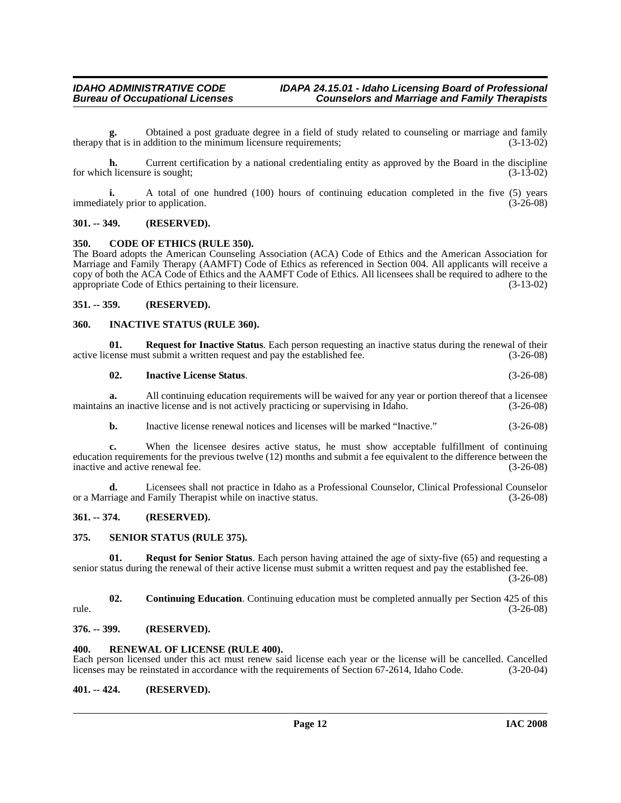**g.** Obtained a post graduate degree in a field of study related to counseling or marriage and family therapy that is in addition to the minimum licensure requirements;  $(3-13-02)$ 

**h.** Current certification by a national credentialing entity as approved by the Board in the discipline for which licensure is sought; (3-13-02)

**i.** A total of one hundred (100) hours of continuing education completed in the five (5) years immediately prior to application. (3-26-08)

#### <span id="page-11-0"></span>**301. -- 349. (RESERVED).**

#### <span id="page-11-9"></span><span id="page-11-1"></span>**350. CODE OF ETHICS (RULE 350).**

The Board adopts the American Counseling Association (ACA) Code of Ethics and the American Association for Marriage and Family Therapy (AAMFT) Code of Ethics as referenced in Section 004. All applicants will receive a copy of both the ACA Code of Ethics and the AAMFT Code of Ethics. All licensees shall be required to adhere to the appropriate Code of Ethics pertaining to their licensure. (3-13-02) appropriate Code of Ethics pertaining to their licensure.

#### <span id="page-11-2"></span>**351. -- 359. (RESERVED).**

#### <span id="page-11-10"></span><span id="page-11-3"></span>**360. INACTIVE STATUS (RULE 360).**

**01. Request for Inactive Status**. Each person requesting an inactive status during the renewal of their active license must submit a written request and pay the established fee. (3-26-08)

#### **02. Inactive License Status**. (3-26-08)

**a.** All continuing education requirements will be waived for any year or portion thereof that a licensee maintains an inactive license and is not actively practicing or supervising in Idaho. (3-26-08)

**b.** Inactive license renewal notices and licenses will be marked "Inactive." (3-26-08)

**c.** When the licensee desires active status, he must show acceptable fulfillment of continuing education requirements for the previous twelve (12) months and submit a fee equivalent to the difference between the inactive and active renewal fee.

**d.** Licensees shall not practice in Idaho as a Professional Counselor, Clinical Professional Counselor or a Marriage and Family Therapist while on inactive status. (3-26-08)

#### <span id="page-11-4"></span>**361. -- 374. (RESERVED).**

#### <span id="page-11-12"></span><span id="page-11-5"></span>**375. SENIOR STATUS (RULE 375).**

**01. Requst for Senior Status**. Each person having attained the age of sixty-five (65) and requesting a senior status during the renewal of their active license must submit a written request and pay the established fee.

(3-26-08)

**02. Continuing Education**. Continuing education must be completed annually per Section 425 of this rule. (3-26-08)

#### <span id="page-11-6"></span>**376. -- 399. (RESERVED).**

#### <span id="page-11-11"></span><span id="page-11-7"></span>**400. RENEWAL OF LICENSE (RULE 400).**

Each person licensed under this act must renew said license each year or the license will be cancelled. Cancelled licenses may be reinstated in accordance with the requirements of Section 67-2614, Idaho Code. (3-20-04) licenses may be reinstated in accordance with the requirements of Section 67-2614, Idaho Code.

#### <span id="page-11-8"></span>**401. -- 424. (RESERVED).**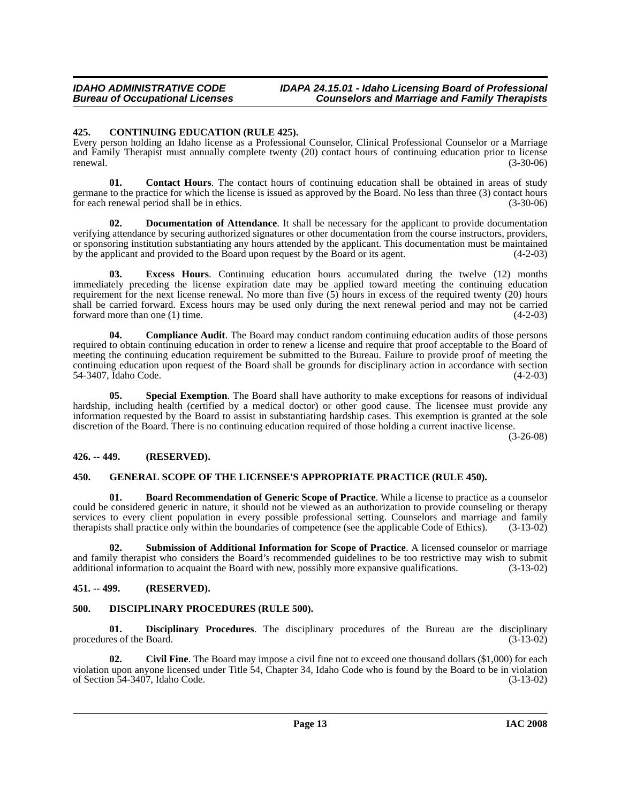### <span id="page-12-8"></span><span id="page-12-0"></span>**425. CONTINUING EDUCATION (RULE 425).**

Every person holding an Idaho license as a Professional Counselor, Clinical Professional Counselor or a Marriage and Family Therapist must annually complete twenty (20) contact hours of continuing education prior to license renewal. (3-30-06)

<span id="page-12-7"></span>**01. Contact Hours**. The contact hours of continuing education shall be obtained in areas of study germane to the practice for which the license is issued as approved by the Board. No less than three (3) contact hours for each renewal period shall be in ethics. (3-30-06)

**02. Documentation of Attendance**. It shall be necessary for the applicant to provide documentation verifying attendance by securing authorized signatures or other documentation from the course instructors, providers, or sponsoring institution substantiating any hours attended by the applicant. This documentation must be maintained by the applicant and provided to the Board upon request by the Board or its agent. (4-2-03)

**03. Excess Hours**. Continuing education hours accumulated during the twelve (12) months immediately preceding the license expiration date may be applied toward meeting the continuing education requirement for the next license renewal. No more than five  $(5)$  hours in excess of the required twenty  $(20)$  hours shall be carried forward. Excess hours may be used only during the next renewal period and may not be carried forward more than one (1) time.  $(4-2-03)$ 

**04. Compliance Audit**. The Board may conduct random continuing education audits of those persons required to obtain continuing education in order to renew a license and require that proof acceptable to the Board of meeting the continuing education requirement be submitted to the Bureau. Failure to provide proof of meeting the continuing education upon request of the Board shall be grounds for disciplinary action in accordance with section 54-3407. Idaho Code. (4-2-03) 54-3407, Idaho Code.

**05. Special Exemption**. The Board shall have authority to make exceptions for reasons of individual hardship, including health (certified by a medical doctor) or other good cause. The licensee must provide any information requested by the Board to assist in substantiating hardship cases. This exemption is granted at the sole discretion of the Board. There is no continuing education required of those holding a current inactive license.

(3-26-08)

### <span id="page-12-1"></span>**426. -- 449. (RESERVED).**

### <span id="page-12-10"></span><span id="page-12-2"></span>**450. GENERAL SCOPE OF THE LICENSEE'S APPROPRIATE PRACTICE (RULE 450).**

<span id="page-12-5"></span>**01. Board Recommendation of Generic Scope of Practice**. While a license to practice as a counselor could be considered generic in nature, it should not be viewed as an authorization to provide counseling or therapy services to every client population in every possible professional setting. Counselors and marriage and family therapists shall practice only within the boundaries of competence (see the applicable Code of Ethics). (3-13-02)

<span id="page-12-11"></span>**02. Submission of Additional Information for Scope of Practice**. A licensed counselor or marriage and family therapist who considers the Board's recommended guidelines to be too restrictive may wish to submit additional information to acquaint the Board with new, possibly more expansive qualifications. (3-13-02)

### <span id="page-12-3"></span>**451. -- 499. (RESERVED).**

# <span id="page-12-9"></span><span id="page-12-4"></span>**500. DISCIPLINARY PROCEDURES (RULE 500).**

**01. Disciplinary Procedures**. The disciplinary procedures of the Bureau are the disciplinary procedures of the Board. (3-13-02)

<span id="page-12-6"></span>**02.** Civil Fine. The Board may impose a civil fine not to exceed one thousand dollars (\$1,000) for each violation upon anyone licensed under Title 54, Chapter 34, Idaho Code who is found by the Board to be in violation of Section 54-3407, Idaho Code. (3-13-02) of Section  $54-3407$ , Idaho Code.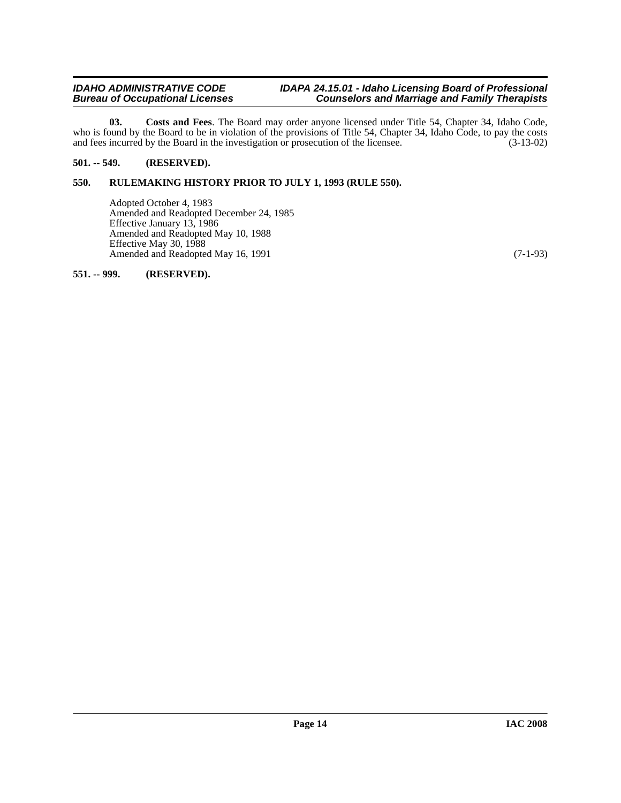#### *IDAHO ADMINISTRATIVE CODE IDAPA 24.15.01 - Idaho Licensing Board of Professional Bureau of Occupational Licenses Counselors and Marriage and Family Therapists*

<span id="page-13-3"></span>**03. Costs and Fees**. The Board may order anyone licensed under Title 54, Chapter 34, Idaho Code, who is found by the Board to be in violation of the provisions of Title 54, Chapter 34, Idaho Code, to pay the costs and fees incurred by the Board in the investigation or prosecution of the licensee. (3-13-02)

# <span id="page-13-0"></span>**501. -- 549. (RESERVED).**

## <span id="page-13-1"></span>**550. RULEMAKING HISTORY PRIOR TO JULY 1, 1993 (RULE 550).**

Adopted October 4, 1983 Amended and Readopted December 24, 1985 Effective January 13, 1986 Amended and Readopted May 10, 1988 Effective May 30, 1988 Amended and Readopted May 16, 1991 (7-1-93)

<span id="page-13-2"></span>**551. -- 999. (RESERVED).**